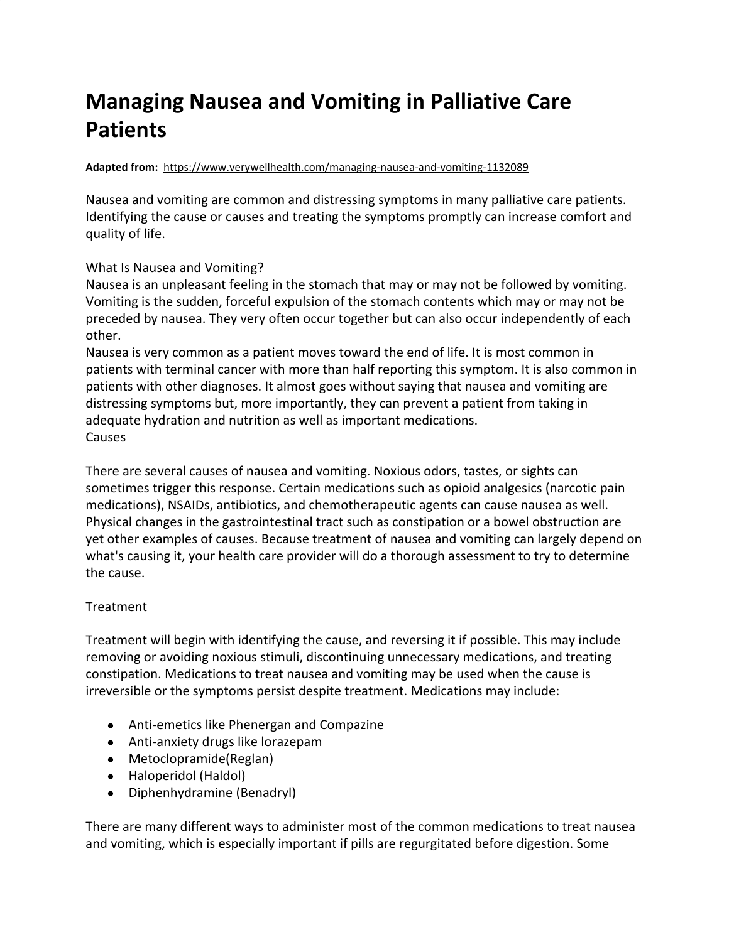## **Managing Nausea and Vomiting in Palliative Care Patients**

## **Adapted from:** <https://www.verywellhealth.com/managing-nausea-and-vomiting-1132089>

Nausea and vomiting are common and distressing symptoms in many palliative care patients. Identifying the cause or causes and treating the symptoms promptly can increase comfort and quality of life.

## What Is Nausea and Vomiting?

Nausea is an unpleasant feeling in the stomach that may or may not be followed by vomiting. Vomiting is the sudden, forceful expulsion of the stomach contents which may or may not be preceded by nausea. They very often occur together but can also occur independently of each other.

Nausea is very common as a patient moves toward the end of life. It is most common in patients with terminal cancer with more than half reporting this symptom. It is also common in patients with other diagnoses. It almost goes without saying that nausea and vomiting are distressing symptoms but, more importantly, they can prevent a patient from taking in adequate hydration and nutrition as well as important medications. Causes

There are several causes of nausea and vomiting. Noxious odors, tastes, or sights can sometimes trigger this response. Certain medications such as opioid analgesics (narcotic pain medications), NSAIDs, antibiotics, and chemotherapeutic agents can cause nausea as well. Physical changes in the gastrointestinal tract such as constipation or a bowel obstruction are yet other examples of causes. Because treatment of nausea and vomiting can largely depend on what's causing it, your health care provider will do a thorough assessment to try to determine the cause.

## Treatment

Treatment will begin with identifying the cause, and reversing it if possible. This may include removing or avoiding noxious stimuli, discontinuing unnecessary medications, and treating constipation. Medications to treat nausea and vomiting may be used when the cause is irreversible or the symptoms persist despite treatment. Medications may include:

- Anti-emetics like Phenergan and Compazine
- Anti-anxiety drugs like lorazepam
- Metoclopramide(Reglan)
- Haloperidol (Haldol)
- Diphenhydramine (Benadryl)

There are many different ways to administer most of the common medications to treat nausea and vomiting, which is especially important if pills are regurgitated before digestion. Some